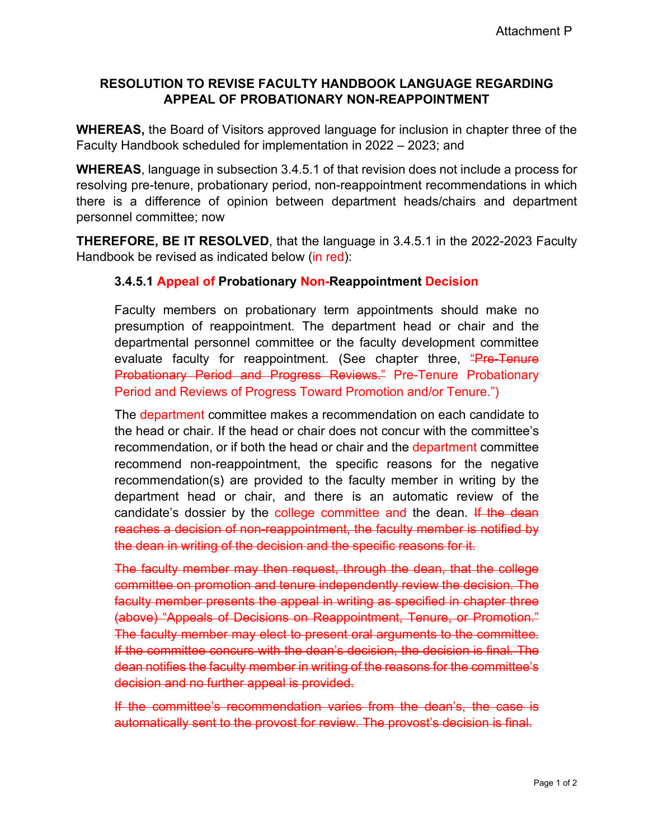## **RESOLUTION TO REVISE FACULTY HANDBOOK LANGUAGE REGARDING APPEAL OF PROBATIONARY NON-REAPPOINTMENT**

**WHEREAS,** the Board of Visitors approved language for inclusion in chapter three of the Faculty Handbook scheduled for implementation in 2022 – 2023; and

**WHEREAS**, language in subsection 3.4.5.1 of that revision does not include a process for resolving pre-tenure, probationary period, non-reappointment recommendations in which there is a difference of opinion between department heads/chairs and department personnel committee; now

**THEREFORE, BE IT RESOLVED**, that the language in 3.4.5.1 in the 2022-2023 Faculty Handbook be revised as indicated below (in red):

## **3.4.5.1 Appeal of Probationary Non-Reappointment Decision**

Faculty members on probationary term appointments should make no presumption of reappointment. The department head or chair and the departmental personnel committee or the faculty development committee evaluate faculty for reappointment. (See chapter three, "Pre-Tenure Probationary Period and Progress Reviews." Pre-Tenure Probationary Period and Reviews of Progress Toward Promotion and/or Tenure.")

The department committee makes a recommendation on each candidate to the head or chair. If the head or chair does not concur with the committee's recommendation, or if both the head or chair and the department committee recommend non-reappointment, the specific reasons for the negative recommendation(s) are provided to the faculty member in writing by the department head or chair, and there is an automatic review of the candidate's dossier by the college committee and the dean. If the dean reaches a decision of non-reappointment, the faculty member is notified by the dean in writing of the decision and the specific reasons for it.

The faculty member may then request, through the dean, that the college committee on promotion and tenure independently review the decision. The faculty member presents the appeal in writing as specified in chapter three (above) "Appeals of Decisions on Reappointment, Tenure, or Promotion." The faculty member may elect to present oral arguments to the committee. If the committee concurs with the dean's decision, the decision is final. The dean notifies the faculty member in writing of the reasons for the committee's decision and no further appeal is provided.

If the committee's recommendation varies from the dean's, the case is automatically sent to the provost for review. The provost's decision is final.